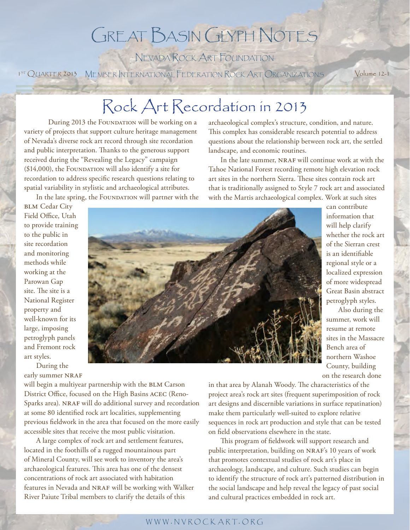### Great Basin Glyph Notes

Nevada Rock Art Foundation

1<sup>5T</sup> QUARTER 2013 MEMBER INTERNATIONAL FEDERATION ROCK ART ORGANIZATIONS Volume 12-1

### Rock Art Recordation in 2013

During 2013 the FOUNDATION will be working on a variety of projects that support culture heritage management of Nevada's diverse rock art record through site recordation and public interpretation. Thanks to the generous support received during the "Revealing the Legacy" campaign  $($14,000)$ , the FOUNDATION will also identify a site for recordation to address specific research questions relating to spatial variability in stylistic and archaeological attributes.

In the late spring, the FOUNDATION will partner with the

archaeological complex's structure, condition, and nature. This complex has considerable research potential to address questions about the relationship between rock art, the settled landscape, and economic routines.

In the late summer, NRAF will continue work at with the Tahoe National Forest recording remote high elevation rock art sites in the northern Sierra. These sites contain rock art that is traditionally assigned to Style 7 rock art and associated with the Martis archaeological complex. Work at such sites

**BLM** Cedar City Field Office, Utah to provide training to the public in site recordation and monitoring methods while working at the Parowan Gap site. The site is a National Register property and well-known for its large, imposing petroglyph panels and Fremont rock art styles.

During the early summer NRAF

will begin a multiyear partnership with the BLM Carson District Office, focused on the High Basins acec (Reno-Sparks area). NRAF will do additional survey and recordation at some 80 identified rock art localities, supplementing previous fieldwork in the area that focused on the more easily accessible sites that receive the most public visitation.

A large complex of rock art and settlement features, located in the foothills of a rugged mountainous part of Mineral County, will see work to inventory the area's archaeological features. This area has one of the densest concentrations of rock art associated with habitation features in Nevada and NRAF will be working with Walker River Paiute Tribal members to clarify the details of this



can contribute information that will help clarify whether the rock art of the Sierran crest is an identifiable regional style or a localized expression of more widespread Great Basin abstract petroglyph styles.

Also during the summer, work will resume at remote sites in the Massacre Bench area of northern Washoe County, building on the research done

in that area by Alanah Woody. The characteristics of the project area's rock art sites (frequent superimposition of rock art designs and discernible variations in surface repatination) make them particularly well-suited to explore relative sequences in rock art production and style that can be tested on field observations elsewhere in the state.

This program of fieldwork will support research and public interpretation, building on NRAF's 10 years of work that promotes contextual studies of rock art's place in archaeology, landscape, and culture. Such studies can begin to identify the structure of rock art's patterned distribution in the social landscape and help reveal the legacy of past social and cultural practices embedded in rock art.

### w w w . n v r o c k a r t. o r g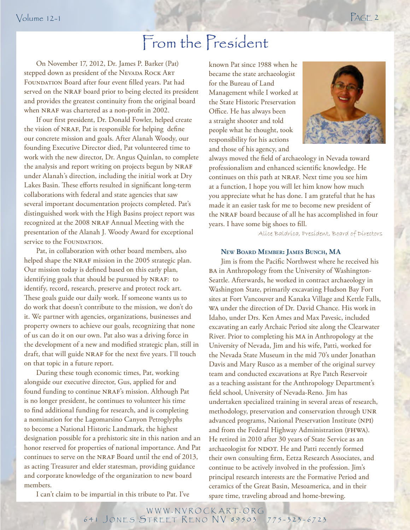### From the President

On November 17, 2012, Dr. James P. Barker (Pat) stepped down as president of the NEVADA ROCK ART FOUNDATION Board after four event filled years. Pat had served on the NRAF board prior to being elected its president and provides the greatest continuity from the original board when NRAF was chartered as a non-profit in 2002.

If our first president, Dr. Donald Fowler, helped create the vision of NRAF, Pat is responsible for helping define our concrete mission and goals. After Alanah Woody, our founding Executive Director died, Pat volunteered time to work with the new director, Dr. Angus Quinlan, to complete the analysis and report writing on projects begun by NRAF under Alanah's direction, including the initial work at Dry Lakes Basin. These efforts resulted in significant long-term collaborations with federal and state agencies that saw several important documentation projects completed. Pat's distinguished work with the High Basins project report was recognized at the 2008 NRAF Annual Meeting with the presentation of the Alanah J. Woody Award for exceptional service to the FOUNDATION.

an. $\overline{\phantom{a}}$ Pat, in collaboration with other board members, also helped shape the NRAF mission in the 2005 strategic plan. Our mission today is defined based on this early plan, identifying goals that should be pursued by NRAF: to identify, record, research, preserve and protect rock art. These goals guide our daily work. If someone wants us to do work that doesn't contribute to the mission, we don't do it. We partner with agencies, organizations, businesses and property owners to achieve our goals, recognizing that none of us can do it on our own. Pat also was a driving force in the development of a new and modified strategic plan, still in draft, that will guide NRAF for the next five years. I'll touch on that topic in a future report.

During these tough economic times, Pat, working alongside our executive director, Gus, applied for and found funding to continue NRAF's mission. Although Pat is no longer president, he continues to volunteer his time to find additional funding for research, and is completing a nomination for the Lagomarsino Canyon Petroglyphs to become a National Historic Landmark, the highest designation possible for a prehistoric site in this nation and an honor reserved for properties of national importance. And Pat continues to serve on the NRAF Board until the end of 2013, as acting Treasurer and elder statesman, providing guidance and corporate knowledge of the organization to new board members.

known Pat since 1988 when he became the state archaeologist for the Bureau of Land Management while I worked at the State Historic Preservation Office. He has always been a straight shooter and told people what he thought, took responsibility for his actions and those of his agency, and



always moved the field of archaeology in Nevada toward professionalism and enhanced scientific knowledge. He continues on this path at NRAF. Next time you see him at a function, I hope you will let him know how much you appreciate what he has done. I am grateful that he has made it an easier task for me to become new president of the NRAF board because of all he has accomplished in four years. I have some big shoes to fill.

Alice Baldrica, President, Board of Directors

### **New Board Member: James Bunch, MA**

Jim is from the Pacific Northwest where he received his BA in Anthropology from the University of Washington-Seattle. Afterwards, he worked in contract archaeology in Washington State, primarily excavating Hudson Bay Fort sites at Fort Vancouver and Kanaka Village and Kettle Falls, wa under the direction of Dr. David Chance. His work in Idaho, under Drs. Ken Ames and Max Pavesic, included excavating an early Archaic Period site along the Clearwater River. Prior to completing his ma in Anthropology at the University of Nevada, Jim and his wife, Patti, worked for the Nevada State Museum in the mid 70's under Jonathan Davis and Mary Rusco as a member of the original survey team and conducted excavations at Rye Patch Reservoir as a teaching assistant for the Anthropology Department's field school, University of Nevada-Reno. Jim has undertaken specialized training in several areas of research, methodology, preservation and conservation through UNR advanced programs, National Preservation Institute (npi) and from the Federal Highway Administration (FHWA). He retired in 2010 after 30 years of State Service as an archaeologist for NDOT. He and Patti recently formed their own consulting firm, Eetza Research Associates, and continue to be actively involved in the profession. Jim's principal research interests are the Formative Period and ceramics of the Great Basin, Mesoamerica, and in their spare time, traveling abroad and home-brewing.

I can't claim to be impartial in this tribute to Pat. I've

WWW.NVROCKART.ORG 641 JONES STREET RENO NV 89503 775-323-6723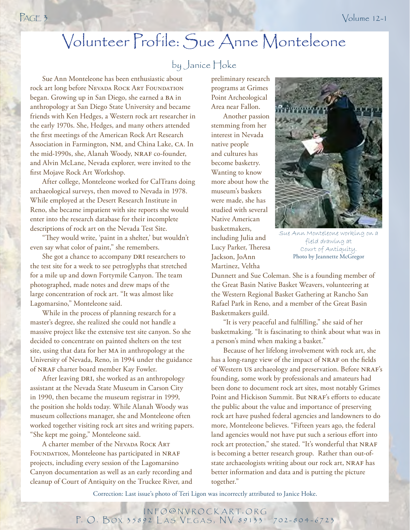### Volunteer Profile: Sue Anne Monteleone

### by Janice Hoke

Sue Ann Monteleone has been enthusiastic about rock art long before NEVADA ROCK ART FOUNDATION began. Growing up in San Diego, she earned a ba in anthropology at San Diego State University and became friends with Ken Hedges, a Western rock art researcher in the early 1970s. She, Hedges, and many others attended the first meetings of the American Rock Art Research Association in Farmington, nm, and China Lake, ca. In the mid-1990s, she, Alanah Woody, NRAF co-founder, and Alvin McLane, Nevada explorer, were invited to the first Mojave Rock Art Workshop.

After college, Monteleone worked for CalTrans doing archaeological surveys, then moved to Nevada in 1978. While employed at the Desert Research Institute in Reno, she became impatient with site reports she would enter into the research database for their incomplete descriptions of rock art on the Nevada Test Site.

"They would write, 'paint in a shelter,' but wouldn't even say what color of paint," she remembers.

She got a chance to accompany DRI researchers to the test site for a week to see petroglyphs that stretched for a mile up and down Fortymile Canyon. The team photographed, made notes and drew maps of the large concentration of rock art. "It was almost like Lagomarsino," Monteleone said.

While in the process of planning research for a master's degree, she realized she could not handle a massive project like the extensive test site canyon. So she decided to concentrate on painted shelters on the test site, using that data for her MA in anthropology at the University of Nevada, Reno, in 1994 under the guidance of NRAF charter board member Kay Fowler.

After leaving DRI, she worked as an anthropology assistant at the Nevada State Museum in Carson City in 1990, then became the museum registrar in 1999, the position she holds today. While Alanah Woody was museum collections manager, she and Monteleone often worked together visiting rock art sites and writing papers. "She kept me going," Monteleone said.

A charter member of the Nevada Rock ART FOUNDATION, Monteleone has participated in NRAF projects, including every session of the Lagomarsino Canyon documentation as well as an early recording and cleanup of Court of Antiquity on the Truckee River, and

preliminary research programs at Grimes Point Archeological Area near Fallon.

Another passion stemming from her interest in Nevada native people and cultures has become basketry. Wanting to know more about how the museum's baskets were made, she has studied with several Native American basketmakers, including Julia and Lucy Parker, Theresa Jackson, JoAnn Martinez, Veltha



Sue Ann Monteleone working field drawing at Court of Antiquity. Photo by Jeannette McGregor

Dunnett and Sue Coleman. She is a founding member of the Great Basin Native Basket Weavers, volunteering at the Western Regional Basket Gathering at Rancho San Rafael Park in Reno, and a member of the Great Basin Basketmakers guild.

"It is very peaceful and fulfilling," she said of her basketmaking. "It is fascinating to think about what was in a person's mind when making a basket."

Because of her lifelong involvement with rock art, she has a long-range view of the impact of NRAF on the fields of Western US archaeology and preservation. Before NRAF's founding, some work by professionals and amateurs had been done to document rock art sites, most notably Grimes Point and Hickison Summit. But NRAF's efforts to educate the public about the value and importance of preserving rock art have pushed federal agencies and landowners to do more, Monteleone believes. "Fifteen years ago, the federal land agencies would not have put such a serious effort into rock art protection," she stated. "It's wonderful that NRAF is becoming a better research group. Rather than out-ofstate archaeologists writing about our rock art, NRAF has better information and data and is putting the picture together."

Correction: Last issue's photo of Teri Ligon was incorrectly attributed to Janice Hoke.

i n f o @ n v r o c k a r t. o r g P. O. BOX 35892 LAS VEGAS, NV 89133 702-804-6723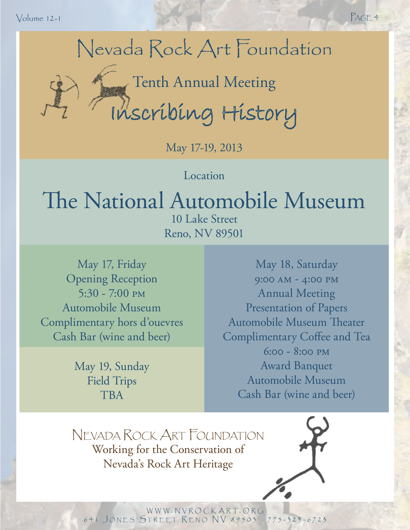Volume 12-1 PAGE 4



Tenth Annual Meeting<br>Inscribing History

May 17-19, 2013

**Location** 

## The National Automobile Museum

10 Lake Street Reno, NV 89501

May 17, Friday Opening Reception 5:30 - 7:00 pm Automobile Museum Complimentary hors d'ouevres Cash Bar (wine and beer)

> May 19, Sunday Field Trips TBA

May 18, Saturday 9:00 am - 4:00 pm Annual Meeting Presentation of Papers Automobile Museum Theater Complimentary Coffee and Tea 6:00 - 8:00 pm Award Banquet Automobile Museum Cash Bar (wine and beer)

Nevada Rock Art Foundation Working for the Conservation of Nevada's Rock Art Heritage

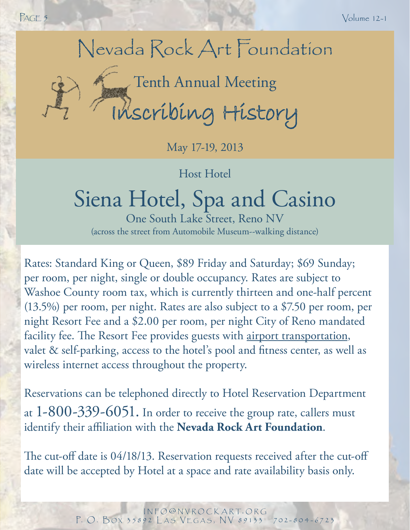## Nevada Rock Art Foundation

# Tenth Annual Meeting<br>Inscribing History

May 17-19, 2013

Host Hotel

## Siena Hotel, Spa and Casino

One South Lake Street, Reno NV (across the street from Automobile Museum--walking distance)

Rates: Standard King or Queen, \$89 Friday and Saturday; \$69 Sunday; per room, per night, single or double occupancy. Rates are subject to Washoe County room tax, which is currently thirteen and one-half percent (13.5%) per room, per night. Rates are also subject to a \$7.50 per room, per night Resort Fee and a \$2.00 per room, per night City of Reno mandated facility fee. The Resort Fee provides guests with airport transportation, valet & self-parking, access to the hotel's pool and fitness center, as well as wireless internet access throughout the property.

Reservations can be telephoned directly to Hotel Reservation Department at 1-800-339-6051. In order to receive the group rate, callers must identify their affiliation with the **Nevada Rock Art Foundation**.

The cut-off date is 04/18/13. Reservation requests received after the cut-off date will be accepted by Hotel at a space and rate availability basis only.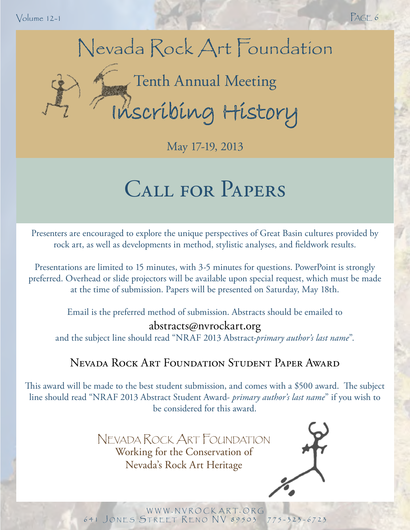Volume 12-1 PAGE 6

## Nevada Rock Art Foundation Tenth Annual Meeting<br>Inscribing History

May 17-19, 2013

## Call for Papers

Presenters are encouraged to explore the unique perspectives of Great Basin cultures provided by rock art, as well as developments in method, stylistic analyses, and fieldwork results.

Presentations are limited to 15 minutes, with 3-5 minutes for questions. PowerPoint is strongly preferred. Overhead or slide projectors will be available upon special request, which must be made at the time of submission. Papers will be presented on Saturday, May 18th.

Email is the preferred method of submission. Abstracts should be emailed to

### abstracts@nvrockart.org

and the subject line should read "NRAF 2013 Abstract-*primary author's last name*".

### Nevada Rock Art Foundation Student Paper Award

This award will be made to the best student submission, and comes with a \$500 award. The subject line should read "NRAF 2013 Abstract Student Award- *primary author's last name*" if you wish to be considered for this award.

> Nevada Rock Art Foundation Working for the Conservation of Nevada's Rock Art Heritage



WWW.NVROCKART.ORG 641 JONES STREET RENO NV 89503 775-323-6723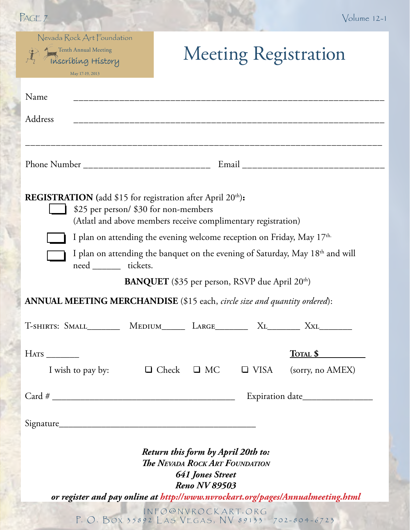| PAGE 7                                                                                      |                                                                                                                       |                                                                                                                                | $Volume 12-1$                                                                             |
|---------------------------------------------------------------------------------------------|-----------------------------------------------------------------------------------------------------------------------|--------------------------------------------------------------------------------------------------------------------------------|-------------------------------------------------------------------------------------------|
| Nevada Rock Art Foundation<br>Tenth Annual Meeting<br>Inscríbíng History<br>May 17-19, 2013 |                                                                                                                       |                                                                                                                                | <b>Meeting Registration</b>                                                               |
| Name                                                                                        |                                                                                                                       |                                                                                                                                |                                                                                           |
| Address                                                                                     | <u> 1989 - Johann Harry Harry Harry Harry Harry Harry Harry Harry Harry Harry Harry Harry Harry Harry Harry Harry</u> |                                                                                                                                |                                                                                           |
|                                                                                             |                                                                                                                       |                                                                                                                                |                                                                                           |
| <b>REGISTRATION</b> (add \$15 for registration after April 20 <sup>th</sup> ):              | \$25 per person/ \$30 for non-members<br>(Atlatl and above members receive complimentary registration)                |                                                                                                                                |                                                                                           |
|                                                                                             | I plan on attending the evening welcome reception on Friday, May 17th.                                                |                                                                                                                                |                                                                                           |
| need ________ tickets.                                                                      |                                                                                                                       |                                                                                                                                | I plan on attending the banquet on the evening of Saturday, May 18 <sup>th</sup> and will |
|                                                                                             | <b>BANQUET</b> (\$35 per person, RSVP due April 20 <sup>th</sup> )                                                    |                                                                                                                                |                                                                                           |
| ANNUAL MEETING MERCHANDISE (\$15 each, circle size and quantity ordered):                   |                                                                                                                       |                                                                                                                                |                                                                                           |
| T-SHIRTS: SMALL__________ MEDIUM_______ LARGE_________ XL_________ XXL_________             |                                                                                                                       |                                                                                                                                |                                                                                           |
| HATS                                                                                        |                                                                                                                       |                                                                                                                                | TOTAL \$                                                                                  |
| I wish to pay by:                                                                           | $\Box$ Check $\Box$ MC $\Box$ VISA                                                                                    |                                                                                                                                | (sorry, no AMEX)                                                                          |
|                                                                                             |                                                                                                                       |                                                                                                                                |                                                                                           |
|                                                                                             |                                                                                                                       |                                                                                                                                |                                                                                           |
|                                                                                             |                                                                                                                       | Return this form by April 20th to:<br><b>The NEVADA ROCK ART FOUNDATION</b><br><b>641 Jones Street</b><br><b>Reno NV 89503</b> | or register and pay online at http://www.nvrockart.org/pages/Annualmeeting.html           |
|                                                                                             | P. O. BOX 35892 LAS VEGAS, NV 89133 702-804-6723                                                                      | INFO@NVROCKART.ORG                                                                                                             |                                                                                           |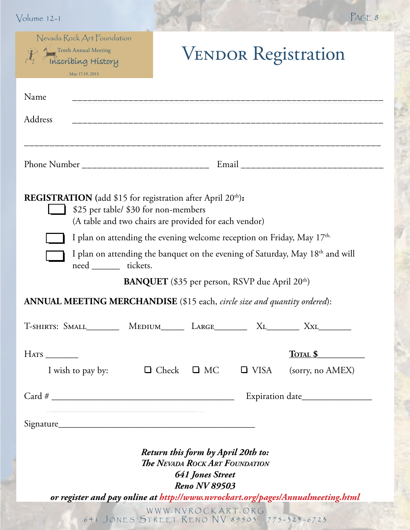| Nevada Rock Art Foundation<br>Tenth Annual Meeting                                                                     |                                                                                                                         |                  |
|------------------------------------------------------------------------------------------------------------------------|-------------------------------------------------------------------------------------------------------------------------|------------------|
| Thscríbing History<br>May 17-19, 2013                                                                                  | <b>VENDOR Registration</b>                                                                                              |                  |
| Name                                                                                                                   |                                                                                                                         |                  |
| Address                                                                                                                |                                                                                                                         |                  |
|                                                                                                                        |                                                                                                                         |                  |
| <b>REGISTRATION</b> (add \$15 for registration after April 20 <sup>th</sup> ):<br>\$25 per table/ \$30 for non-members | (A table and two chairs are provided for each vendor)                                                                   |                  |
|                                                                                                                        | I plan on attending the evening welcome reception on Friday, May 17th.                                                  |                  |
|                                                                                                                        |                                                                                                                         |                  |
| need _______ tickets.                                                                                                  | I plan on attending the banquet on the evening of Saturday, May 18 <sup>th</sup> and will                               |                  |
|                                                                                                                        | <b>BANQUET</b> (\$35 per person, RSVP due April 20 <sup>th</sup> )                                                      |                  |
| ANNUAL MEETING MERCHANDISE (\$15 each, circle size and quantity ordered):                                              |                                                                                                                         |                  |
| T-SHIRTS: SMALL__________ MEDIUM_______ LARGE_________ XL_________ XXL_________                                        |                                                                                                                         |                  |
| HATS                                                                                                                   |                                                                                                                         | TOTAL \$         |
| I wish to pay by: $\Box$ Check $\Box$ MC                                                                               | $\Box$ VISA                                                                                                             | (sorry, no AMEX) |
|                                                                                                                        |                                                                                                                         |                  |
|                                                                                                                        |                                                                                                                         |                  |
|                                                                                                                        |                                                                                                                         |                  |
|                                                                                                                        | Return this form by April 20th to:<br><b>The NEVADA ROCK ART FOUNDATION</b><br>641 Jones Street<br><b>Reno NV 89503</b> |                  |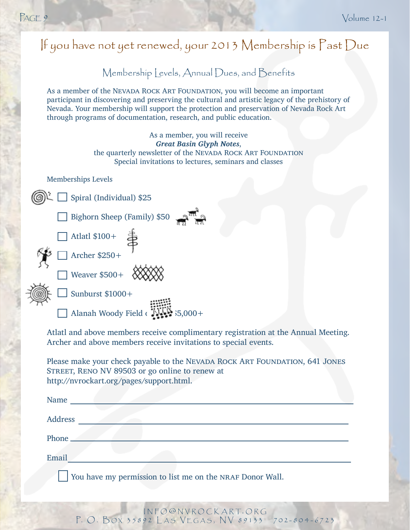Email

### Membership Levels, Annual Dues, and Benefits As a member of the Nevada Rock Art Foundation, you will become an important participant in discovering and preserving the cultural and artistic legacy of the prehistory of Nevada. Your membership will support the protection and preservation of Nevada Rock Art through programs of documentation, research, and public education. As a member, you will receive *Great Basin Glyph Notes*, the quarterly newsletter of the NEVADA ROCK ART FOUNDATION Special invitations to lectures, seminars and classes Memberships Levels Spiral (Individual) \$25 Bighorn Sheep (Family) \$50 Atlatl \$100+  $\sqrt{7}$  Archer \$250+  $\Box$  Weaver \$500+  $\bigotimes_{\mathcal{X}} \bigotimes_{\mathcal{Y}} \bigotimes$  $\Box$  Sunburst \$1000+ Alanah Woody Field  $\begin{array}{c} \overline{11111} \\ \overline{2111} \end{array}$   $\begin{array}{c} \overline{21111} \\ \overline{2111} \end{array}$   $\begin{array}{c} \overline{21111} \\ \overline{21111} \end{array}$ Atlatl and above members receive complimentary registration at the Annual Meeting. Archer and above members receive invitations to special events. Please make your check payable to the NEVADA ROCK ART FOUNDATION, 641 JONES STREET, RENO NV 89503 or go online to renew at http://nvrockart.org/pages/support.html. Name Address Phone  $\equiv$ If you have not yet renewed, your 2013 Membership is Past Due

You have my permission to list me on the NRAF Donor Wall.

i n f o @ n v r o c k a r t. o r g P. O. BOX 35892 LAS VEGAS, NV 89133 702-804-6723